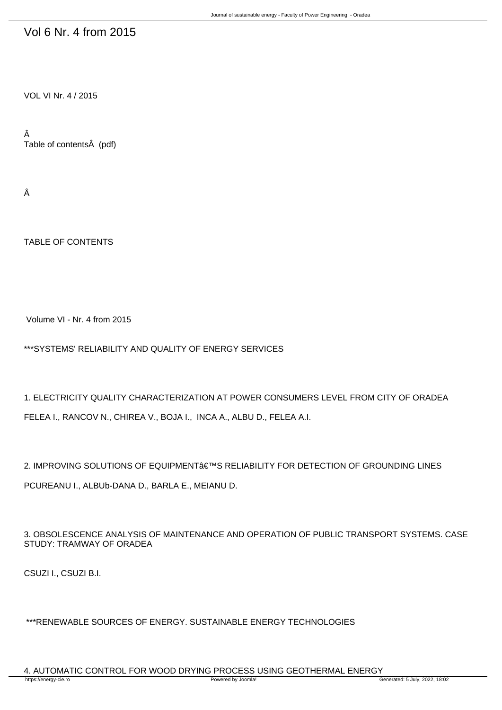## Vol 6 Nr. 4 from 2015

VOL VI Nr. 4 / 2015

Â Table of contents (pdf)

Â

TABLE OF CONTENTS

Volume VI - Nr. 4 from 2015

\*\*\*SYSTEMS' RELIABILITY AND QUALITY OF ENERGY SERVICES

1. ELECTRICITY QUALITY CHARACTERIZATION AT POWER CONSUMERS LEVEL FROM CITY OF ORADEA FELEA I., RANCOV N., CHIREA V., BOJA I., INCA A., ALBU D., FELEA A.I.

2. IMPROVING SOLUTIONS OF EQUIPMENT€™S RELIABILITY FOR DETECTION OF GROUNDING LINES P-CUREANU I., ALBUb-DANA D., BARLA E., MEIANU D.

3. OBSOLESCENCE ANALYSIS OF MAINTENANCE AND OPERATION OF PUBLIC TRANSPORT SYSTEMS. CASE STUDY: TRAMWAY OF ORADEA

CSUZI I., CSUZI B.I.

\*\*\*RENEWABLE SOURCES OF ENERGY. SUSTAINABLE ENERGY TECHNOLOGIES